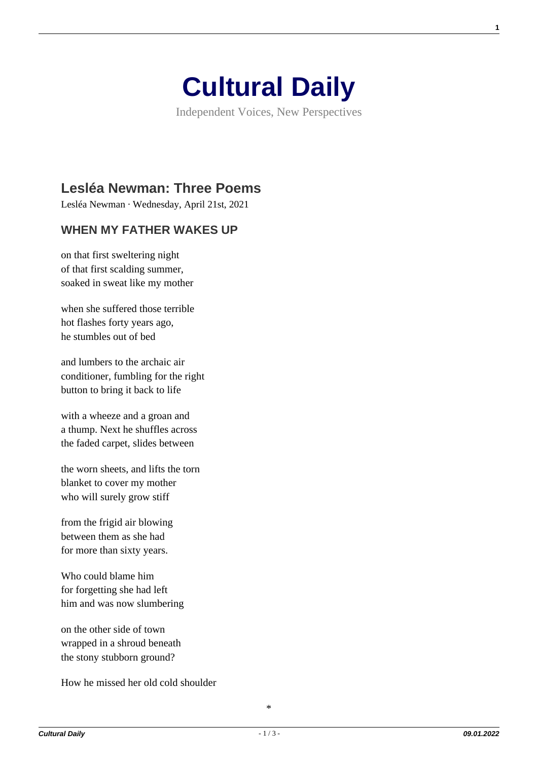

Independent Voices, New Perspectives

## **[Lesléa Newman: Three Poems](https://culturaldaily.com/leslea-newman-three-poems/)**

Lesléa Newman · Wednesday, April 21st, 2021

## **WHEN MY FATHER WAKES UP**

on that first sweltering night of that first scalding summer, soaked in sweat like my mother

when she suffered those terrible hot flashes forty years ago, he stumbles out of bed

and lumbers to the archaic air conditioner, fumbling for the right button to bring it back to life

with a wheeze and a groan and a thump. Next he shuffles across the faded carpet, slides between

the worn sheets, and lifts the torn blanket to cover my mother who will surely grow stiff

from the frigid air blowing between them as she had for more than sixty years.

Who could blame him for forgetting she had left him and was now slumbering

on the other side of town wrapped in a shroud beneath the stony stubborn ground?

How he missed her old cold shoulder

**1**

\*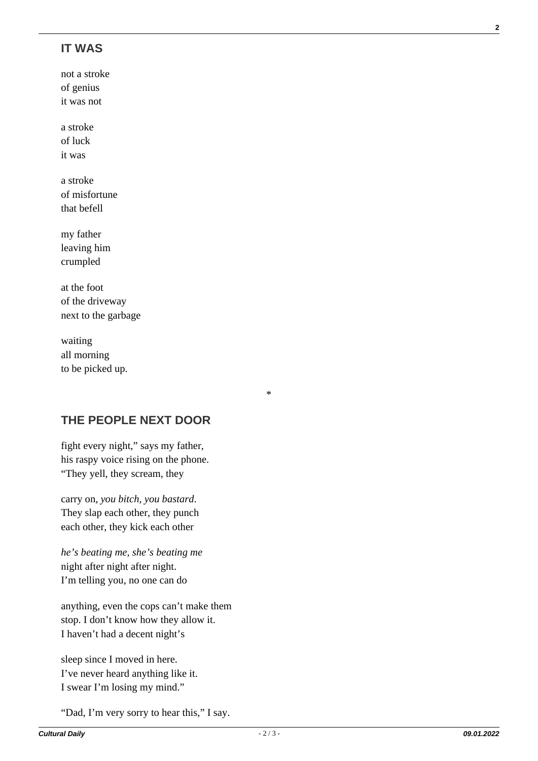## **IT WAS**

not a stroke of genius it was not

a stroke of luck it was

a stroke of misfortune that befell

my father leaving him crumpled

at the foot of the driveway next to the garbage

waiting all morning to be picked up.

**THE PEOPLE NEXT DOOR**

fight every night," says my father, his raspy voice rising on the phone. "They yell, they scream, they

carry on, *you bitch, you bastard*. They slap each other, they punch each other, they kick each other

*he's beating me, she's beating me* night after night after night. I'm telling you, no one can do

anything, even the cops can't make them stop. I don't know how they allow it. I haven't had a decent night's

sleep since I moved in here. I've never heard anything like it. I swear I'm losing my mind."

"Dad, I'm very sorry to hear this," I say.

\*

**2**